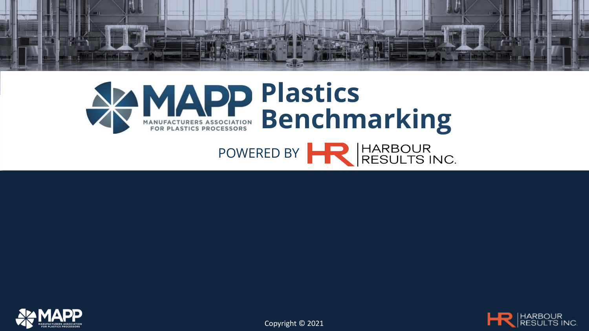







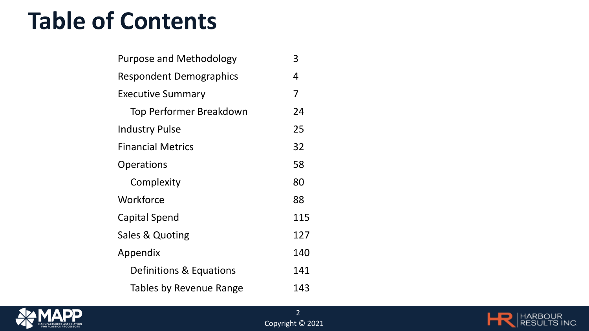#### **Table of Contents**

| <b>Purpose and Methodology</b> | 3   |
|--------------------------------|-----|
| <b>Respondent Demographics</b> | 4   |
| <b>Executive Summary</b>       | 7   |
| Top Performer Breakdown        | 24  |
| <b>Industry Pulse</b>          | 25  |
| <b>Financial Metrics</b>       | 32  |
| <b>Operations</b>              | 58  |
| Complexity                     | 80  |
| Workforce                      | 88  |
| Capital Spend                  | 115 |
| Sales & Quoting                | 127 |
| Appendix                       | 140 |
| Definitions & Equations        | 141 |
| Tables by Revenue Range        | 143 |



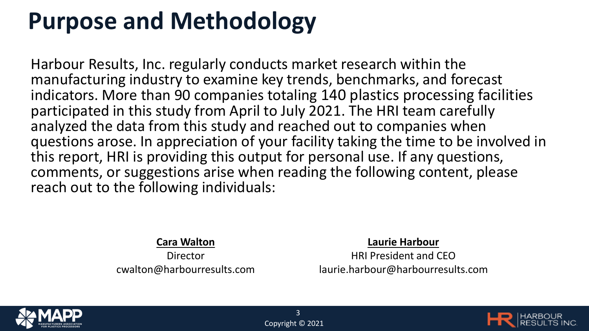### **Purpose and Methodology**

Harbour Results, Inc. regularly conducts market research within the manufacturing industry to examine key trends, benchmarks, and forecast indicators. More than 90 companies totaling 140 plastics processing facilities participated in this study from April to July 2021. The HRI team carefully analyzed the data from this study and reached out to companies when questions arose. In appreciation of your facility taking the time to be involved in this report, HRI is providing this output for personal use. If any questions, comments, or suggestions arise when reading the following content, please reach out to the following individuals:

**Cara Walton**

Director cwalton@harbourresults.com

#### **Laurie Harbour**

HRI President and CEO laurie.harbour@harbourresults.com



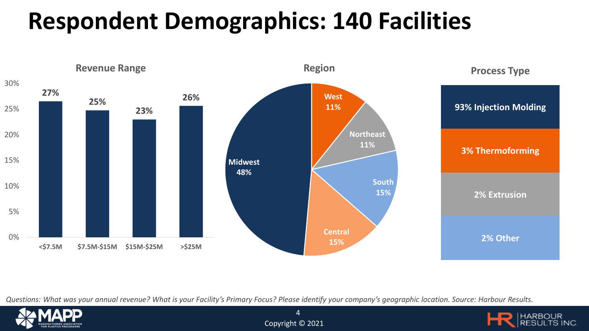# **Respondent Demographics: 140 Facilities**



*Questions: What was your annual revenue? What is your Facility's Primary Focus? Please identify your company's geographic location. Source: Harbour Results.*





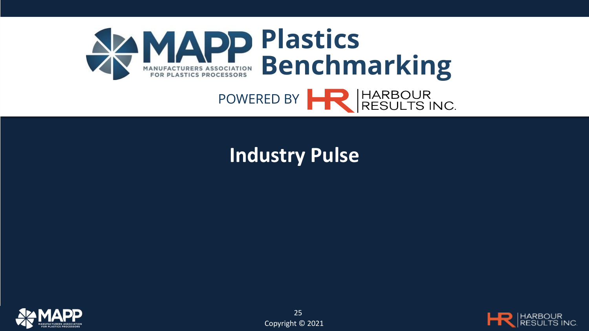

#### **Industry Pulse**



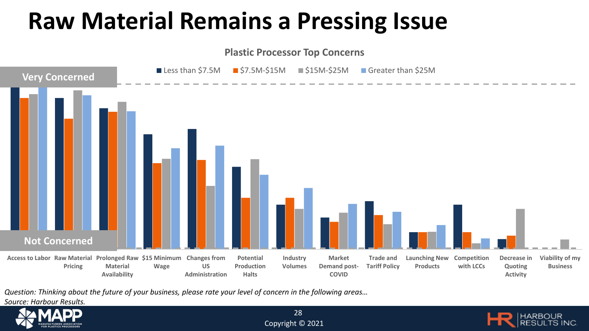### **Raw Material Remains a Pressing Issue**



*Question: Thinking about the future of your business, please rate your level of concern in the following areas…* 

*Source: Harbour Results.*



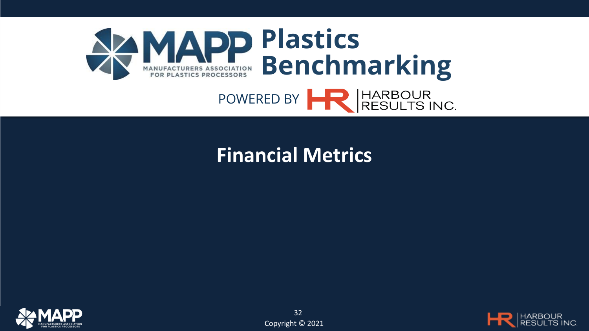

#### **Financial Metrics**



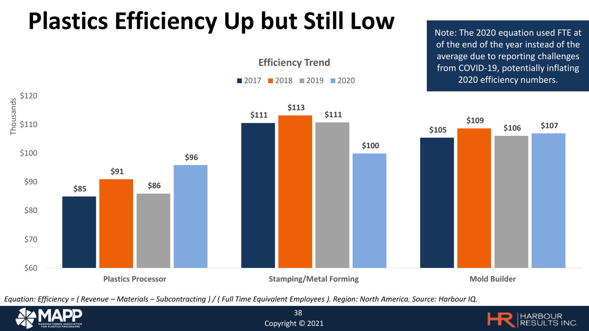# **Plastics Efficiency Up but Still Low**

**Efficiency Trend**

**2017 2018 2019 2020** 

of the end of the year instead of the average due to reporting challenges from COVID-19, potentially inflating 2020 efficiency numbers.



*Equation: Efficiency = ( Revenue – Materials – Subcontracting ) / ( Full Time Equivalent Employees ). Region: North America. Source: Harbour IQ.*





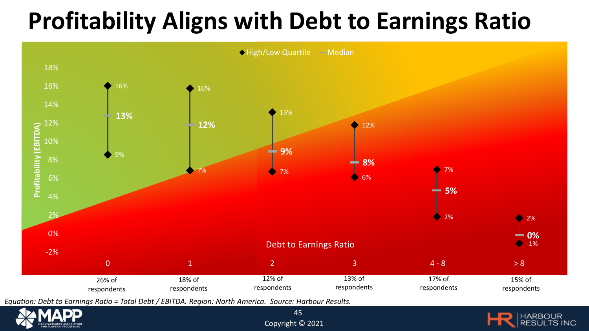## **Profitability Aligns with Debt to Earnings Ratio**





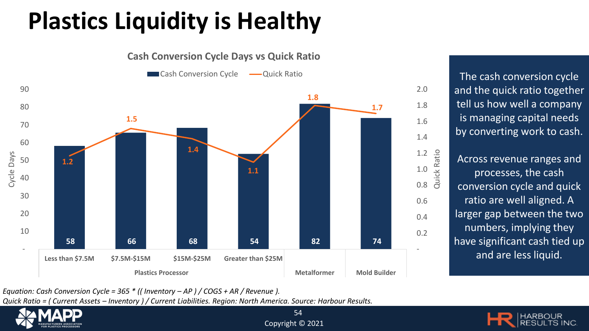# **Plastics Liquidity is Healthy**



**Cash Conversion Cycle Days vs Quick Ratio**

The cash conversion cycle and the quick ratio together tell us how well a company is managing capital needs by converting work to cash.

Across revenue ranges and processes, the cash conversion cycle and quick ratio are well aligned. A larger gap between the two numbers, implying they have significant cash tied up and are less liquid.

*Equation: Cash Conversion Cycle = 365 \* (( Inventory – AP ) / COGS + AR / Revenue ).* 

*Quick Ratio = ( Current Assets – Inventory ) / Current Liabilities. Region: North America. Source: Harbour Results.*

![](_page_9_Picture_7.jpeg)

![](_page_9_Picture_8.jpeg)

![](_page_9_Picture_9.jpeg)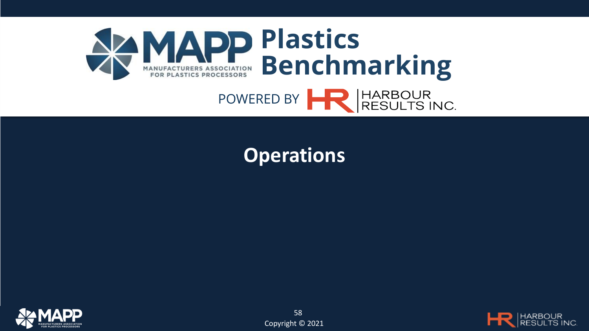![](_page_10_Picture_0.jpeg)

#### **Operations**

![](_page_10_Picture_2.jpeg)

![](_page_10_Picture_4.jpeg)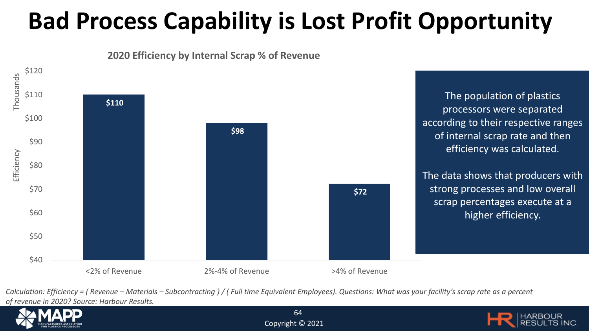# **Bad Process Capability is Lost Profit Opportunity**

![](_page_11_Figure_1.jpeg)

**2020 Efficiency by Internal Scrap % of Revenue**

*Calculation: Efficiency = ( Revenue – Materials – Subcontracting ) / ( Full time Equivalent Employees). Questions: What was your facility's scrap rate as a percent of revenue in 2020? Source: Harbour Results.*

![](_page_11_Picture_4.jpeg)

![](_page_11_Picture_6.jpeg)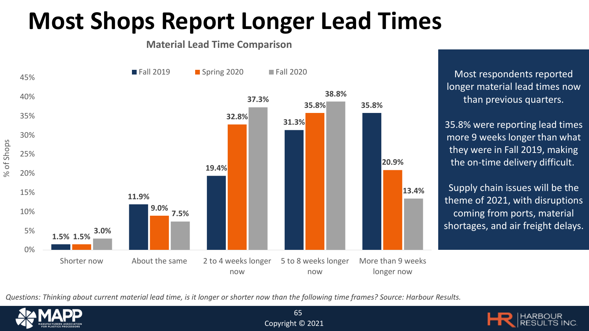### **Most Shops Report Longer Lead Times**

#### **Material Lead Time Comparison**

![](_page_12_Figure_2.jpeg)

Most respondents reported longer material lead times now than previous quarters.

35.8% were reporting lead times more 9 weeks longer than what they were in Fall 2019, making the on-time delivery difficult.

Supply chain issues will be the theme of 2021, with disruptions coming from ports, material shortages, and air freight delays.

*Questions: Thinking about current material lead time, is it longer or shorter now than the following time frames? Source: Harbour Results.*

65

![](_page_12_Picture_7.jpeg)

![](_page_12_Picture_8.jpeg)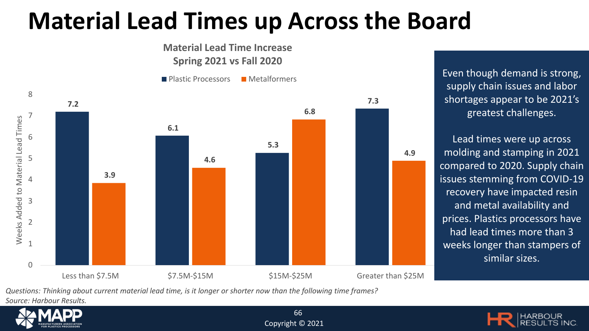## **Material Lead Times up Across the Board**

![](_page_13_Figure_1.jpeg)

supply chain issues and labor shortages appear to be 2021's greatest challenges.

Lead times were up across molding and stamping in 2021 compared to 2020. Supply chain issues stemming from COVID-19 recovery have impacted resin and metal availability and prices. Plastics processors have had lead times more than 3 weeks longer than stampers of similar sizes.

*Questions: Thinking about current material lead time, is it longer or shorter now than the following time frames?* 

*Source: Harbour Results.*

![](_page_13_Picture_6.jpeg)

![](_page_13_Picture_7.jpeg)

![](_page_13_Picture_8.jpeg)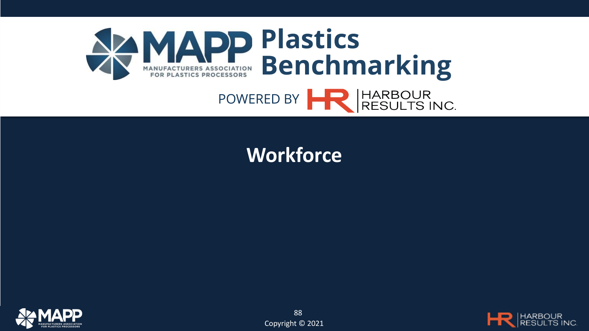![](_page_14_Picture_0.jpeg)

#### **Workforce**

![](_page_14_Picture_2.jpeg)

![](_page_14_Picture_4.jpeg)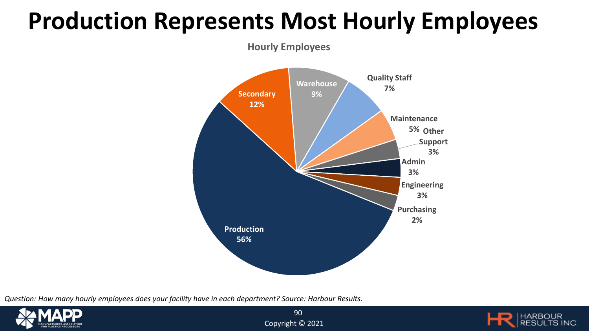### **Production Represents Most Hourly Employees**

**Hourly Employees**

![](_page_15_Figure_2.jpeg)

*Question: How many hourly employees does your facility have in each department? Source: Harbour Results.*

![](_page_15_Picture_4.jpeg)

![](_page_15_Picture_5.jpeg)

![](_page_15_Picture_6.jpeg)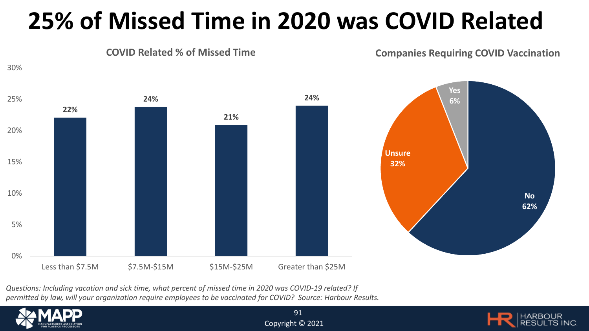## **25% of Missed Time in 2020 was COVID Related**

![](_page_16_Figure_1.jpeg)

*Questions: Including vacation and sick time, what percent of missed time in 2020 was COVID-19 related? If permitted by law, will your organization require employees to be vaccinated for COVID? Source: Harbour Results.*

![](_page_16_Picture_3.jpeg)

![](_page_16_Picture_5.jpeg)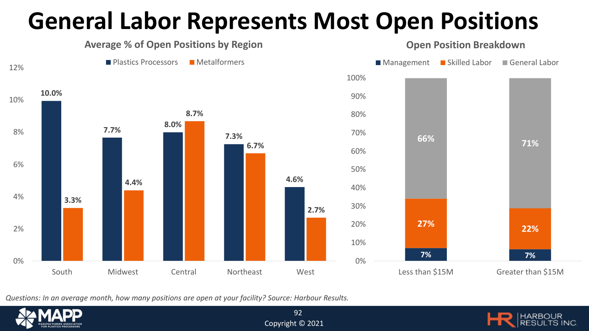## **General Labor Represents Most Open Positions**

![](_page_17_Figure_1.jpeg)

*Questions: In an average month, how many positions are open at your facility? Source: Harbour Results.*

![](_page_17_Picture_3.jpeg)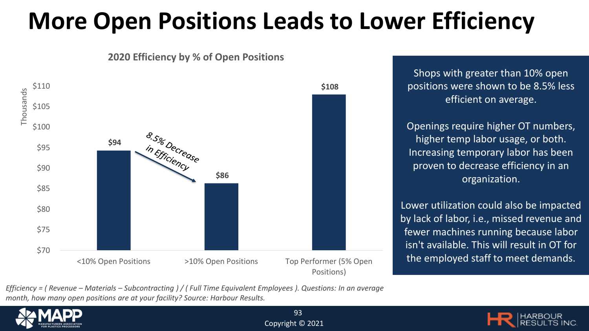## **More Open Positions Leads to Lower Efficiency**

![](_page_18_Figure_1.jpeg)

**2020 Efficiency by % of Open Positions**

Shops with greater than 10% open positions were shown to be 8.5% less efficient on average.

Openings require higher OT numbers, higher temp labor usage, or both. Increasing temporary labor has been proven to decrease efficiency in an organization.

Lower utilization could also be impacted by lack of labor, i.e., missed revenue and fewer machines running because labor isn't available. This will result in OT for the employed staff to meet demands.

*Efficiency = ( Revenue – Materials – Subcontracting ) / ( Full Time Equivalent Employees ). Questions: In an average month, how many open positions are at your facility? Source: Harbour Results.*

![](_page_18_Picture_7.jpeg)

![](_page_18_Picture_9.jpeg)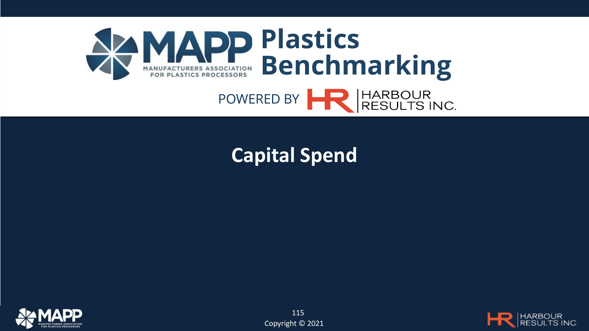![](_page_19_Picture_0.jpeg)

#### **Capital Spend**

![](_page_19_Picture_2.jpeg)

![](_page_19_Picture_4.jpeg)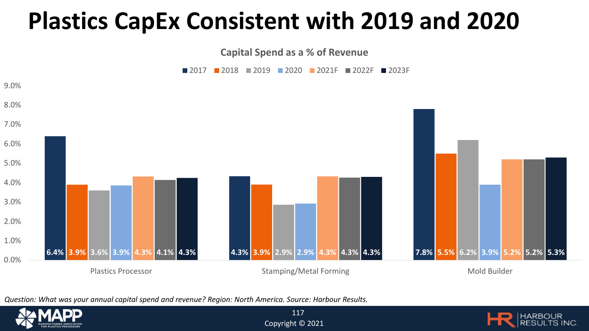#### **Plastics CapEx Consistent with 2019 and 2020**

**Capital Spend as a % of Revenue**

![](_page_20_Figure_2.jpeg)

![](_page_20_Figure_3.jpeg)

*Question: What was your annual capital spend and revenue? Region: North America. Source: Harbour Results.* 

![](_page_20_Picture_5.jpeg)

![](_page_20_Picture_7.jpeg)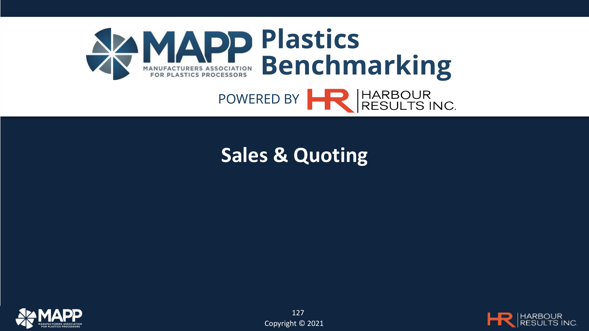![](_page_21_Picture_0.jpeg)

#### **Sales & Quoting**

![](_page_21_Picture_2.jpeg)

![](_page_21_Picture_4.jpeg)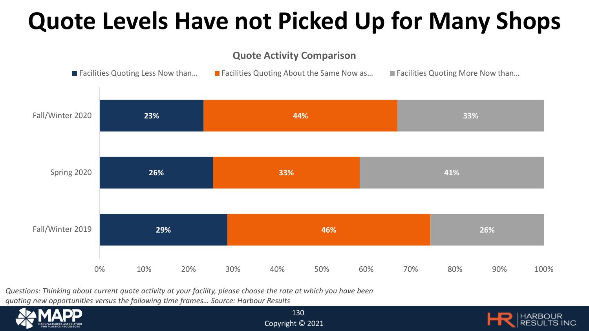## **Quote Levels Have not Picked Up for Many Shops**

#### **Quote Activity Comparison**

![](_page_22_Figure_2.jpeg)

*Questions: Thinking about current quote activity at your facility, please choose the rate at which you have been quoting new opportunities versus the following time frames… Source: Harbour Results* 

![](_page_22_Picture_4.jpeg)

![](_page_22_Picture_6.jpeg)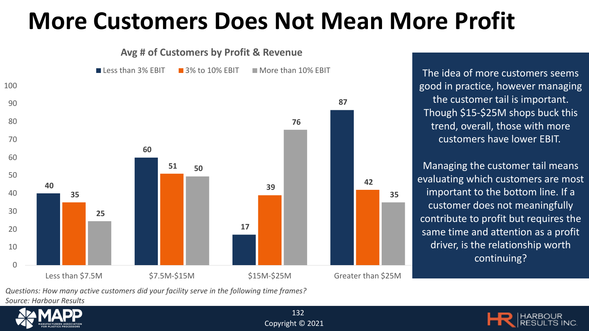#### **More Customers Does Not Mean More Profit**

![](_page_23_Figure_1.jpeg)

good in practice, however managing the customer tail is important. Though \$15-\$25M shops buck this trend, overall, those with more customers have lower EBIT.

Managing the customer tail means evaluating which customers are most important to the bottom line. If a customer does not meaningfully contribute to profit but requires the same time and attention as a profit driver, is the relationship worth continuing?

*Questions: How many active customers did your facility serve in the following time frames?*

*Source: Harbour Results* 

![](_page_23_Picture_6.jpeg)

![](_page_23_Picture_7.jpeg)

![](_page_23_Picture_8.jpeg)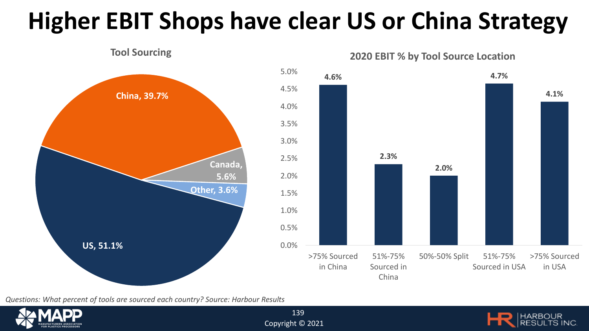# **Higher EBIT Shops have clear US or China Strategy**

![](_page_24_Figure_1.jpeg)

*Questions: What percent of tools are sourced each country? Source: Harbour Results* 

![](_page_24_Picture_3.jpeg)

![](_page_24_Picture_5.jpeg)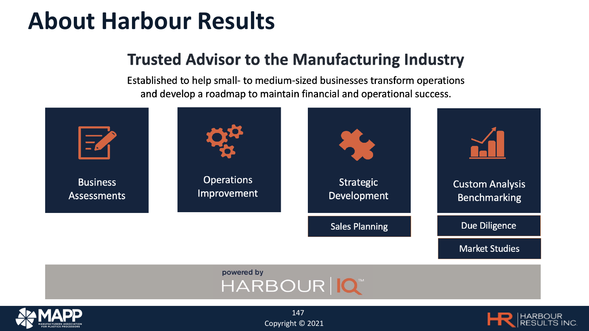#### **About Harbour Results**

#### **Trusted Advisor to the Manufacturing Industry**

Established to help small- to medium-sized businesses transform operations and develop a roadmap to maintain financial and operational success.

![](_page_25_Figure_3.jpeg)

![](_page_25_Picture_4.jpeg)

![](_page_25_Picture_5.jpeg)

![](_page_25_Picture_6.jpeg)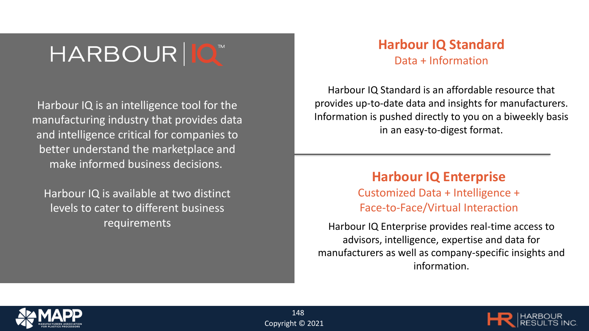## HARBOUR | O

Harbour IQ is an intelligence tool for the manufacturing industry that provides data and intelligence critical for companies to better understand the marketplace and make informed business decisions.

Harbour IQ is available at two distinct levels to cater to different business requirements

#### **Harbour IQ Standard** Data + Information

Harbour IQ Standard is an affordable resource that provides up-to-date data and insights for manufacturers. Information is pushed directly to you on a biweekly basis in an easy-to-digest format.

#### **Harbour IQ Enterprise**

Customized Data + Intelligence + Face-to-Face/Virtual Interaction

Harbour IQ Enterprise provides real-time access to advisors, intelligence, expertise and data for manufacturers as well as company-specific insights and information.

![](_page_26_Picture_8.jpeg)

![](_page_26_Picture_10.jpeg)